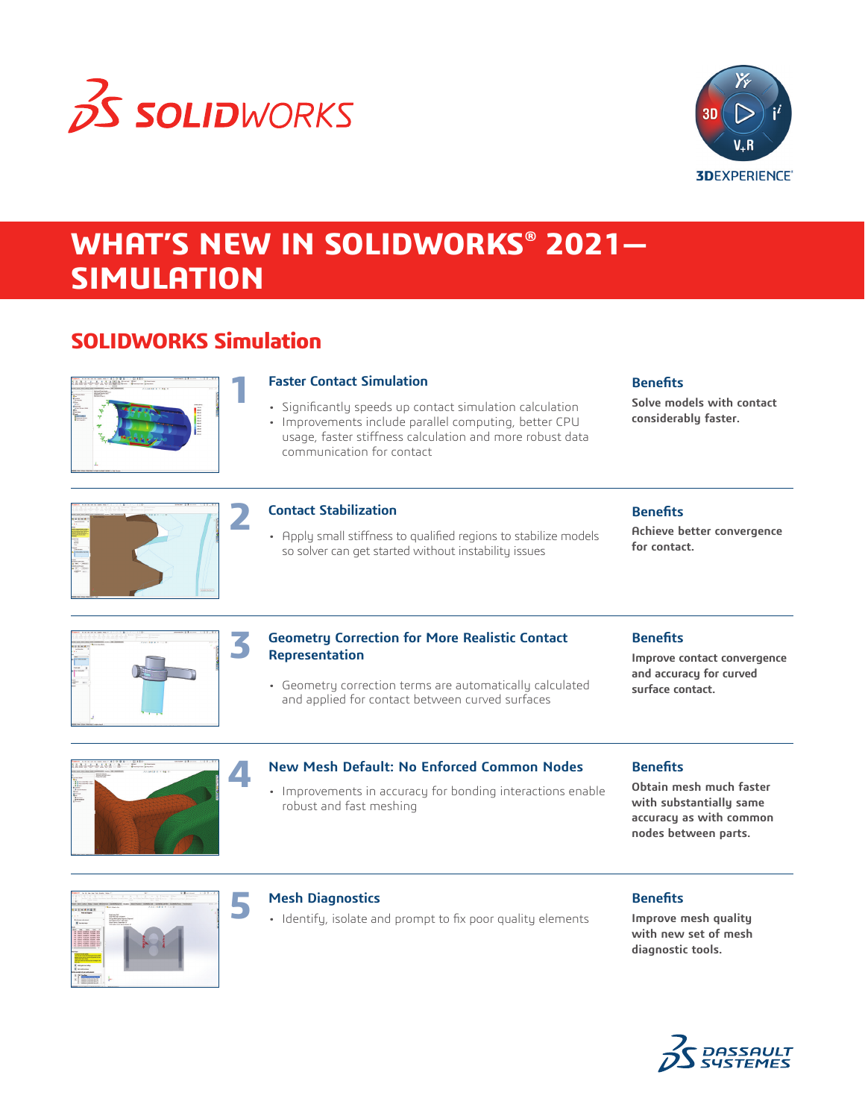



# **WHAT'S NEW IN SOLIDWORKS® 2021— SIMULATION**

# **SOLIDWORKS Simulation**



# **Faster Contact Simulation**

- Significantly speeds up contact simulation calculation
- Improvements include parallel computing, better CPU usage, faster stiffness calculation and more robust data communication for contact

# **Benefits**

**Solve models with contact considerably faster.**



# **Contact Stabilization**

• Apply small stiffness to qualified regions to stabilize models so solver can get started without instability issues

# **Benefits**

**Achieve better convergence for contact.**



# **Geometry Correction for More Realistic Contact Representation**

• Geometry correction terms are automatically calculated and applied for contact between curved surfaces

# **Benefits**

**Improve contact convergence and accuracy for curved surface contact.**



### **New Mesh Default: No Enforced Common Nodes**

• Improvements in accuracy for bonding interactions enable robust and fast meshing

#### **Benefits**

**Obtain mesh much faster with substantially same accuracy as with common nodes between parts.**



### **Mesh Diagnostics**

• Identify, isolate and prompt to fix poor quality elements

### **Benefits**

**Improve mesh quality with new set of mesh diagnostic tools.**